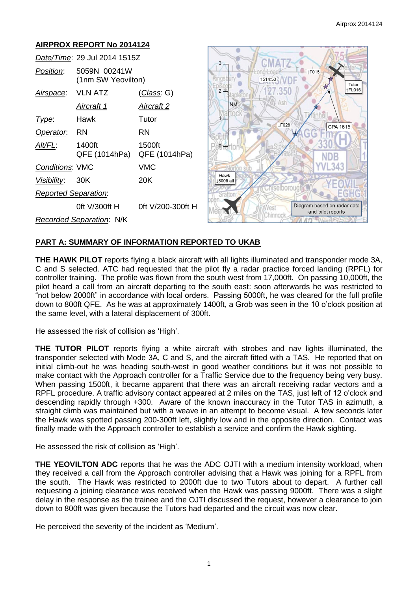#### **AIRPROX REPORT No 2014124** *Date/Time*: 29 Jul 2014 1515Z CMAT  $\overline{3}$ . TF015 *Position*: 5059N 00241W (1nm SW Yeovilton) 1514:53 Tutor<br>FL016  $\overline{2}$ . 350 *Airspace*: VLN ATZ (*Class*: G) Ash **NM** *Aircraft 1 Aircraft 2 Type*: Hawk Tutor **IF028** CPA 1615 **Operator:** RN RN *Alt/FL*: 1400ft 1500ft  $\mathbf{0}$ QFE (1014hPa) QFE (1014hPa) NDE 34 *Conditions*: VMC VMC Hawk *Visibility*: 30K 20K 1800ft alt *Reported Separation*: Diagram based on radar data 0ft V/300ft H 0ft V/200-300ft H Vest and pilot reports Chinnoc *Recorded Separation*: N/K

# **PART A: SUMMARY OF INFORMATION REPORTED TO UKAB**

**THE HAWK PILOT** reports flying a black aircraft with all lights illuminated and transponder mode 3A, C and S selected. ATC had requested that the pilot fly a radar practice forced landing (RPFL) for controller training. The profile was flown from the south west from 17,000ft. On passing 10,000ft, the pilot heard a call from an aircraft departing to the south east: soon afterwards he was restricted to "not below 2000ft" in accordance with local orders. Passing 5000ft, he was cleared for the full profile down to 800ft QFE. As he was at approximately 1400ft, a Grob was seen in the 10 o'clock position at the same level, with a lateral displacement of 300ft.

He assessed the risk of collision as 'High'.

**THE TUTOR PILOT** reports flying a white aircraft with strobes and nav lights illuminated, the transponder selected with Mode 3A, C and S, and the aircraft fitted with a TAS. He reported that on initial climb-out he was heading south-west in good weather conditions but it was not possible to make contact with the Approach controller for a Traffic Service due to the frequency being very busy. When passing 1500ft, it became apparent that there was an aircraft receiving radar vectors and a RPFL procedure. A traffic advisory contact appeared at 2 miles on the TAS, just left of 12 o'clock and descending rapidly through +300. Aware of the known inaccuracy in the Tutor TAS in azimuth, a straight climb was maintained but with a weave in an attempt to become visual. A few seconds later the Hawk was spotted passing 200-300ft left, slightly low and in the opposite direction. Contact was finally made with the Approach controller to establish a service and confirm the Hawk sighting.

He assessed the risk of collision as 'High'.

**THE YEOVILTON ADC** reports that he was the ADC OJTI with a medium intensity workload, when they received a call from the Approach controller advising that a Hawk was joining for a RPFL from the south. The Hawk was restricted to 2000ft due to two Tutors about to depart. A further call requesting a joining clearance was received when the Hawk was passing 9000ft. There was a slight delay in the response as the trainee and the OJTI discussed the request, however a clearance to join down to 800ft was given because the Tutors had departed and the circuit was now clear.

He perceived the severity of the incident as 'Medium'.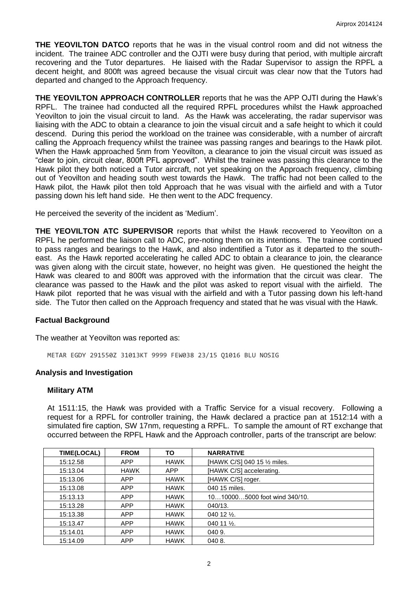**THE YEOVILTON DATCO** reports that he was in the visual control room and did not witness the incident. The trainee ADC controller and the OJTI were busy during that period, with multiple aircraft recovering and the Tutor departures. He liaised with the Radar Supervisor to assign the RPFL a decent height, and 800ft was agreed because the visual circuit was clear now that the Tutors had departed and changed to the Approach frequency.

**THE YEOVILTON APPROACH CONTROLLER** reports that he was the APP OJTI during the Hawk's RPFL. The trainee had conducted all the required RPFL procedures whilst the Hawk approached Yeovilton to join the visual circuit to land. As the Hawk was accelerating, the radar supervisor was liaising with the ADC to obtain a clearance to join the visual circuit and a safe height to which it could descend. During this period the workload on the trainee was considerable, with a number of aircraft calling the Approach frequency whilst the trainee was passing ranges and bearings to the Hawk pilot. When the Hawk approached 5nm from Yeovilton, a clearance to join the visual circuit was issued as "clear to join, circuit clear, 800ft PFL approved". Whilst the trainee was passing this clearance to the Hawk pilot they both noticed a Tutor aircraft, not yet speaking on the Approach frequency, climbing out of Yeovilton and heading south west towards the Hawk. The traffic had not been called to the Hawk pilot, the Hawk pilot then told Approach that he was visual with the airfield and with a Tutor passing down his left hand side. He then went to the ADC frequency.

He perceived the severity of the incident as 'Medium'.

**THE YEOVILTON ATC SUPERVISOR** reports that whilst the Hawk recovered to Yeovilton on a RPFL he performed the liaison call to ADC, pre-noting them on its intentions. The trainee continued to pass ranges and bearings to the Hawk, and also indentified a Tutor as it departed to the southeast. As the Hawk reported accelerating he called ADC to obtain a clearance to join, the clearance was given along with the circuit state, however, no height was given. He questioned the height the Hawk was cleared to and 800ft was approved with the information that the circuit was clear. The clearance was passed to the Hawk and the pilot was asked to report visual with the airfield. The Hawk pilot reported that he was visual with the airfield and with a Tutor passing down his left-hand side. The Tutor then called on the Approach frequency and stated that he was visual with the Hawk.

#### **Factual Background**

The weather at Yeovilton was reported as:

METAR EGDY 291550Z 31013KT 9999 FEW038 23/15 Q1016 BLU NOSIG

## **Analysis and Investigation**

#### **Military ATM**

At 1511:15, the Hawk was provided with a Traffic Service for a visual recovery. Following a request for a RPFL for controller training, the Hawk declared a practice pan at 1512:14 with a simulated fire caption, SW 17nm, requesting a RPFL. To sample the amount of RT exchange that occurred between the RPFL Hawk and the Approach controller, parts of the transcript are below:

| <b>TIME(LOCAL)</b> | <b>FROM</b> | ΤО          | <b>NARRATIVE</b>              |
|--------------------|-------------|-------------|-------------------------------|
| 15:12.58           | <b>APP</b>  | <b>HAWK</b> | [HAWK C/S] 040 15 1/2 miles.  |
| 15:13.04           | <b>HAWK</b> | <b>APP</b>  | [HAWK C/S] accelerating.      |
| 15:13.06           | <b>APP</b>  | <b>HAWK</b> | [HAWK C/S] roger.             |
| 15:13.08           | <b>APP</b>  | <b>HAWK</b> | 040 15 miles.                 |
| 15:13.13           | <b>APP</b>  | <b>HAWK</b> | 10100005000 foot wind 340/10. |
| 15:13.28           | <b>APP</b>  | <b>HAWK</b> | 040/13.                       |
| 15:13.38           | <b>APP</b>  | <b>HAWK</b> | 040 12 $\frac{1}{2}$ .        |
| 15:13.47           | <b>APP</b>  | <b>HAWK</b> | 040 11 $\frac{1}{2}$ .        |
| 15:14.01           | <b>APP</b>  | <b>HAWK</b> | 040 9.                        |
| 15:14.09           | <b>APP</b>  | <b>HAWK</b> | 040 8.                        |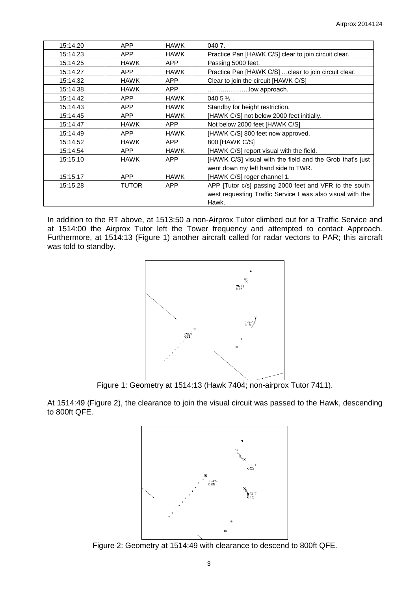| 15:14.20 | <b>APP</b>   | <b>HAWK</b> | 0407.                                                      |
|----------|--------------|-------------|------------------------------------------------------------|
| 15:14.23 | <b>APP</b>   | <b>HAWK</b> | Practice Pan [HAWK C/S] clear to join circuit clear.       |
| 15:14.25 | <b>HAWK</b>  | APP         | Passing 5000 feet.                                         |
| 15:14.27 | <b>APP</b>   | <b>HAWK</b> | Practice Pan [HAWK C/S]  clear to join circuit clear.      |
| 15:14.32 | <b>HAWK</b>  | <b>APP</b>  | Clear to join the circuit [HAWK C/S]                       |
| 15:14.38 | <b>HAWK</b>  | APP.        | low approach.                                              |
| 15:14.42 | <b>APP</b>   | <b>HAWK</b> | $0405\frac{1}{2}$ .                                        |
| 15:14.43 | <b>APP</b>   | <b>HAWK</b> | Standby for height restriction.                            |
| 15:14.45 | <b>APP</b>   | <b>HAWK</b> | [HAWK C/S] not below 2000 feet initially.                  |
| 15:14.47 | <b>HAWK</b>  | <b>APP</b>  | Not below 2000 feet [HAWK C/S]                             |
| 15:14.49 | <b>APP</b>   | <b>HAWK</b> | [HAWK C/S] 800 feet now approved.                          |
| 15:14.52 | <b>HAWK</b>  | <b>APP</b>  | 800 [HAWK C/S]                                             |
| 15:14.54 | <b>APP</b>   | <b>HAWK</b> | [HAWK C/S] report visual with the field.                   |
| 15:15.10 | <b>HAWK</b>  | <b>APP</b>  | [HAWK C/S] visual with the field and the Grob that's just  |
|          |              |             | went down my left hand side to TWR.                        |
| 15:15.17 | <b>APP</b>   | <b>HAWK</b> | [HAWK C/S] roger channel 1.                                |
| 15:15.28 | <b>TUTOR</b> | <b>APP</b>  | APP [Tutor c/s] passing 2000 feet and VFR to the south     |
|          |              |             | west requesting Traffic Service I was also visual with the |
|          |              |             | Hawk.                                                      |

In addition to the RT above, at 1513:50 a non-Airprox Tutor climbed out for a Traffic Service and at 1514:00 the Airprox Tutor left the Tower frequency and attempted to contact Approach. Furthermore, at 1514:13 (Figure 1) another aircraft called for radar vectors to PAR; this aircraft was told to standby.



Figure 1: Geometry at 1514:13 (Hawk 7404; non-airprox Tutor 7411).

At 1514:49 (Figure 2), the clearance to join the visual circuit was passed to the Hawk, descending to 800ft QFE.



Figure 2: Geometry at 1514:49 with clearance to descend to 800ft QFE.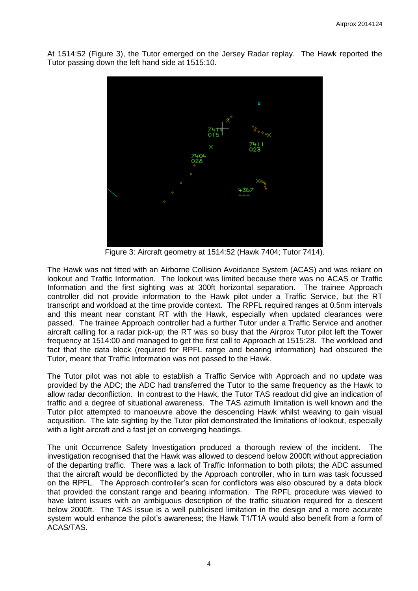At 1514:52 (Figure 3), the Tutor emerged on the Jersey Radar replay. The Hawk reported the Tutor passing down the left hand side at 1515:10.



Figure 3: Aircraft geometry at 1514:52 (Hawk 7404; Tutor 7414).

The Hawk was not fitted with an Airborne Collision Avoidance System (ACAS) and was reliant on lookout and Traffic Information. The lookout was limited because there was no ACAS or Traffic Information and the first sighting was at 300ft horizontal separation. The trainee Approach controller did not provide information to the Hawk pilot under a Traffic Service, but the RT transcript and workload at the time provide context. The RPFL required ranges at 0.5nm intervals and this meant near constant RT with the Hawk, especially when updated clearances were passed. The trainee Approach controller had a further Tutor under a Traffic Service and another aircraft calling for a radar pick-up; the RT was so busy that the Airprox Tutor pilot left the Tower frequency at 1514:00 and managed to get the first call to Approach at 1515:28. The workload and fact that the data block (required for RPFL range and bearing information) had obscured the Tutor, meant that Traffic Information was not passed to the Hawk.

The Tutor pilot was not able to establish a Traffic Service with Approach and no update was provided by the ADC; the ADC had transferred the Tutor to the same frequency as the Hawk to allow radar deconfliction. In contrast to the Hawk, the Tutor TAS readout did give an indication of traffic and a degree of situational awareness. The TAS azimuth limitation is well known and the Tutor pilot attempted to manoeuvre above the descending Hawk whilst weaving to gain visual acquisition. The late sighting by the Tutor pilot demonstrated the limitations of lookout, especially with a light aircraft and a fast jet on converging headings.

The unit Occurrence Safety Investigation produced a thorough review of the incident. The investigation recognised that the Hawk was allowed to descend below 2000ft without appreciation of the departing traffic. There was a lack of Traffic Information to both pilots; the ADC assumed that the aircraft would be deconflicted by the Approach controller, who in turn was task focussed on the RPFL. The Approach controller's scan for conflictors was also obscured by a data block that provided the constant range and bearing information. The RPFL procedure was viewed to have latent issues with an ambiguous description of the traffic situation required for a descent below 2000ft. The TAS issue is a well publicised limitation in the design and a more accurate system would enhance the pilot's awareness; the Hawk T1/T1A would also benefit from a form of ACAS/TAS.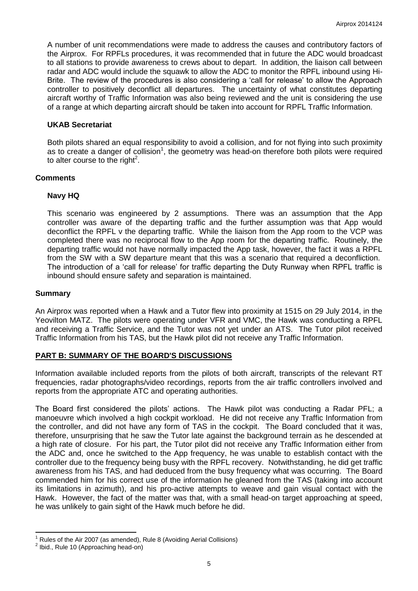A number of unit recommendations were made to address the causes and contributory factors of the Airprox. For RPFLs procedures, it was recommended that in future the ADC would broadcast to all stations to provide awareness to crews about to depart. In addition, the liaison call between radar and ADC would include the squawk to allow the ADC to monitor the RPFL inbound using Hi-Brite. The review of the procedures is also considering a 'call for release' to allow the Approach controller to positively deconflict all departures. The uncertainty of what constitutes departing aircraft worthy of Traffic Information was also being reviewed and the unit is considering the use of a range at which departing aircraft should be taken into account for RPFL Traffic Information.

## **UKAB Secretariat**

Both pilots shared an equal responsibility to avoid a collision, and for not flying into such proximity as to create a danger of collision<sup>1</sup>, the geometry was head-on therefore both pilots were required to alter course to the right<sup>2</sup>.

## **Comments**

## **Navy HQ**

This scenario was engineered by 2 assumptions. There was an assumption that the App controller was aware of the departing traffic and the further assumption was that App would deconflict the RPFL v the departing traffic. While the liaison from the App room to the VCP was completed there was no reciprocal flow to the App room for the departing traffic. Routinely, the departing traffic would not have normally impacted the App task, however, the fact it was a RPFL from the SW with a SW departure meant that this was a scenario that required a deconfliction. The introduction of a 'call for release' for traffic departing the Duty Runway when RPFL traffic is inbound should ensure safety and separation is maintained.

## **Summary**

An Airprox was reported when a Hawk and a Tutor flew into proximity at 1515 on 29 July 2014, in the Yeovilton MATZ. The pilots were operating under VFR and VMC, the Hawk was conducting a RPFL and receiving a Traffic Service, and the Tutor was not yet under an ATS. The Tutor pilot received Traffic Information from his TAS, but the Hawk pilot did not receive any Traffic Information.

# **PART B: SUMMARY OF THE BOARD'S DISCUSSIONS**

Information available included reports from the pilots of both aircraft, transcripts of the relevant RT frequencies, radar photographs/video recordings, reports from the air traffic controllers involved and reports from the appropriate ATC and operating authorities.

The Board first considered the pilots' actions. The Hawk pilot was conducting a Radar PFL; a manoeuvre which involved a high cockpit workload. He did not receive any Traffic Information from the controller, and did not have any form of TAS in the cockpit. The Board concluded that it was, therefore, unsurprising that he saw the Tutor late against the background terrain as he descended at a high rate of closure. For his part, the Tutor pilot did not receive any Traffic Information either from the ADC and, once he switched to the App frequency, he was unable to establish contact with the controller due to the frequency being busy with the RPFL recovery. Notwithstanding, he did get traffic awareness from his TAS, and had deduced from the busy frequency what was occurring. The Board commended him for his correct use of the information he gleaned from the TAS (taking into account its limitations in azimuth), and his pro-active attempts to weave and gain visual contact with the Hawk. However, the fact of the matter was that, with a small head-on target approaching at speed, he was unlikely to gain sight of the Hawk much before he did.

 $\overline{\phantom{a}}$ <sup>1</sup> Rules of the Air 2007 (as amended), Rule 8 (Avoiding Aerial Collisions)

<sup>&</sup>lt;sup>2</sup> Ibid., Rule 10 (Approaching head-on)